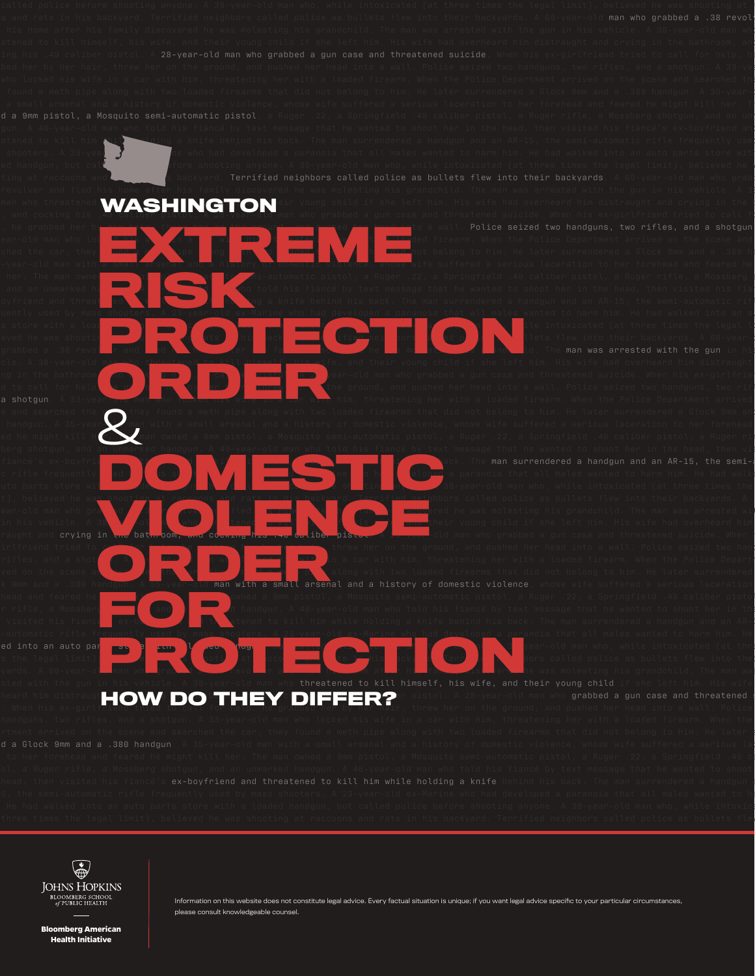man who grabbed a .38 revol atened to kill him while siding a knife behind his back. The man surrendered a handgun and an AR-15, the semi-automatic rifle frequently used , shooters. A 23-year-old ex-Marine who had developed a paranoia that all males wanted to harm him. He had walked into an auto parts store with led handgun, but called police before shooting anyone. A 39-year-old man who, while intoxicated (at three times the legal limit), believed he w man who threatened WASHINGTON eir young child if she left him. His wife had overheard him distraught and crying in the l<br>Was dealing his wife to call factors with an who apphed a gun case and threatened suicide. When his e  $r_{\rm c}$  and cocking his .40 caliber pistol. A 28-year-old man who grabbed a gun case and threatened suicide. When his ex-girlfriend tried to call fo Police seized two handguns, two rifles, and a shotgun ear-old man who loc<mark>k him, the care with him, the loaded firearm.</mark> When the Police Department arrived on the scene and ched the car, they **found a** method a method ing **and that did not belong to him.** He later surrendered a Glock 9mm and a .380 ha -year-old man with <mark>a small ar</mark>senal and a history of domestic violence, whose wife suffered a serious laceration to her forehead and feared he kill her. The man owned a 9mm pistol, a 9mm pistol, a 9mm pistol, a Ruger .22, a Springfield .40 caliber pistol, a Ruger rifle, a Mossberg shotand an unmarked ha**nd a 40-year-old man who told** his fiancé by text message that he wanted to shoot her in the head, then visited his fiancé's fiancé's fiancé's fiancé by text message that he wanted to shoot her in the he oyfriend and threat ed to kill him while him while holding a knife behind his back. The man surrendered a handgun and an AR-15, the semi-automatic riflering the semi-automatic riflering of the semi-automatic riflering of t parts store with a load **hand gund, but called police before shown who, who, while intoxicated (at three times the legal li** eved he was shooting and at single at racking the set of the state and ratio police and rats in his backyards. A 60-year-old many  $\alpha$ cle. A 38-year-old man who threatened to kill himself, his wife, and their young child if she left him. His wife had overheard him distraught ng in the bathroom, and cocking his **reading the community of the co**cking his ex-girlfriend man who grabbed a gun case and threatened suicide. When his ex-girlfrien d to call for help, the grabbe her the grabbed her hand her head into a wall. Police seized two handguns, two rifles, threw her the ground, and pushed her head into a wall. Police seized two handguns, two rifles, the grad a shotgun. A 33-year-old man who locked his wife in a car with him, threatening her with a loaded firearm. When the Police Department arrived e and searched the **car, they** found a meth pipe along with two loaded firearms that did not belong to him. He later surrendered a Glock 9mm and . handgun. A 35-year $\blacktriangleright$  man with a small arsenal and a history of domestic violence, whose wife suffered a serious laceration to her forehead ed he might kill her. The man owned a 9mm pistol, a Mosquito semi-automatic pistol, a Ruger .22, a Springfield .40 caliber pistol, a Ruger rif berg shotgun, and an unmarked handgun. A 40-year-old man who told his fiancé by text message that he wanted to shoot her in the head, then vis man surrendered a handgun and an AR-15, the semic rifle frequently sed by matic shooters. A 23-year-old ex-Marine shooted a paranoia that all males wanted to harm him. He had walke and a loaded handled police before shooting and  $\epsilon$  and  $\epsilon$  and  $\epsilon$  and  $\epsilon$  and  $\epsilon$  and  $\epsilon$  and  $\epsilon$  and  $\epsilon$  and  $\epsilon$  and  $\epsilon$  and  $\epsilon$  and  $\epsilon$  and  $\epsilon$  and  $\epsilon$  and  $\epsilon$  and  $\epsilon$  and  $\epsilon$  and  $\epsilon$  and  $\epsilon$  and  $\$ t), believed he wa<u>s shooting at raccoons an</u>d rat<u>s in his b</u>ackyard. <u>Terrified neig</u>hbors called police as bullets flew into their backyards. A ear-old man who grabbed and fleed in the second and fled his family and the was molesting his grandchild. The man was arrested with in his vehicle. A 38 year old man who the tened wanged and their wife, and their young child if she left him. His wife had overheard him raught and crying in the bathroom, and cocking his .40 caliber pistol. A 28-year-old man who grabbed a gun case and threatened suicide. When h irlfriend tried to call for help, he grabbed here her by threw her on the ground, and pushed her head into a wall. Police seized two hand rifles, and a shot a 33-year-old man who locked his wife in a car with him, threatening her with a loaded firearm. When the Police Departm ved on the scene and searched the car, the car, the car, they along with two loaded firearms that did not belong to him. He later surrendered arsenal and a history of domestic violence head and feared he might kill her. The man owned a 9mm pistol, a Mosquito semi-automatic pistol, a Ruger .22, a Springfield .40 caliber pistol r rifle, a Mossberg show and and an unimarked handgun. A 40-year-old man who told his fiancé by text message that he wanted to shoot her in the head, the head, the head, the head, the head, the head, the head, the head, th visited his fiance the s-boy friend and the stened to kill him while holding a knife behind his back. The man surrendered a handgun and an AR-15, the man surrendered a handgun and an AR-15, the stened and an AR-15, the man s the legal limit), believed to be was shooting at raccoons and rating at raccoons and rating  $\frac{1}{2}$  at  $\frac{1}{2}$  at  $\frac{1}{2}$  at  $\frac{1}{2}$  at  $\frac{1}{2}$  at  $\frac{1}{2}$  at  $\frac{1}{2}$  coons into their into their into their i yards. A 60-year-old man who grabbed a . Teyold revolver all man was defined the family discovered he was molesting his grandchild. The man was heard him distraugh**how DO THEY DIFFER?** wisted. A 28-year-old man who grabbed a gun case and threatened suite<br>When his ex-ain] **HOW DO THEY DIFFER?** withou hap an the graund and pushed hap head into a well. Police . When his ex-girlfriend tried to call for help, he grabbed her by her hair, threw her on the ground, and pushed her head into a wall. Police ex-boyfriend and threatened to kill him while holding a knife **EXTREME PROPERTY AND SERVICE CONDUCTS RISK LIGHTER WEIGHT SHOOTERS PROTECTION ORDER**  $\mathcal{R}^{\tiny \textrm{the}}_{\tiny \textrm{an}}$ **DOMESTIC COMPANY** in the batmoom, and coexany has two deriber pisture is the state and **ORDER A** Specification with a small arsenal and **For the Conduction of the Conduction of the Conduction of the Conduction of the Conduction of the Conduction of the Conduction of the Conduction of the Conduction of the Conduction of the Conduction of the Conduction of t PROTECTION**



Information on this website does not constitute legal advice. Every factual situation is unique; if you want legal advice specific to your particular circumstances, please consult knowledgeable counsel.

**Bloomberg American Health Initiative**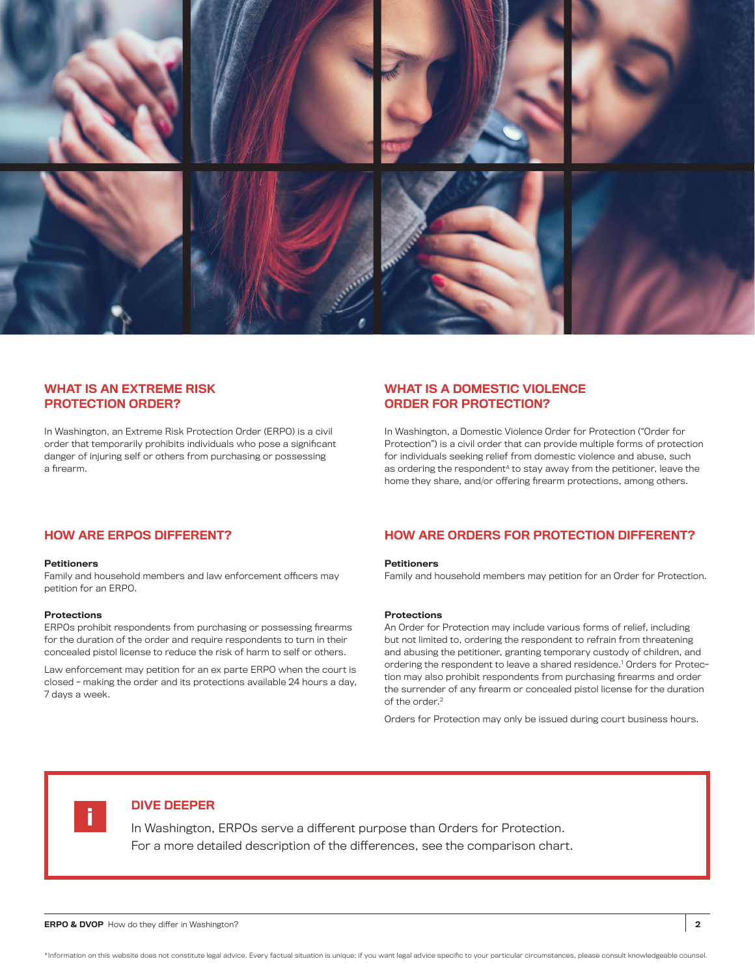

#### WHAT IS AN EXTREME RISK PROTECTION ORDER?

In Washington, an Extreme Risk Protection Order (ERPO) is a civil order that temporarily prohibits individuals who pose a significant danger of injuring self or others from purchasing or possessing a firearm.

#### WHAT IS A DOMESTIC VIOLENCE ORDER FOR PROTECTION?

In Washington, a Domestic Violence Order for Protection ("Order for Protection") is a civil order that can provide multiple forms of protection for individuals seeking relief from domestic violence and abuse, such as ordering the respondent<sup>A</sup> to stay away from the petitioner, leave the home they share, and/or offering firearm protections, among others.

#### **Petitioners**

Family and household members and law enforcement officers may petition for an ERPO.

#### Protections

ERPOs prohibit respondents from purchasing or possessing firearms for the duration of the order and require respondents to turn in their concealed pistol license to reduce the risk of harm to self or others.

Law enforcement may petition for an ex parte ERPO when the court is closed - making the order and its protections available 24 hours a day, 7 days a week.

### HOW ARE ERPOS DIFFERENT? HOW ARE ORDERS FOR PROTECTION DIFFERENT?

#### **Petitioners**

Family and household members may petition for an Order for Protection.

#### **Protections**

An Order for Protection may include various forms of relief, including but not limited to, ordering the respondent to refrain from threatening and abusing the petitioner, granting temporary custody of children, and ordering the respondent to leave a shared residence.1 Orders for Protection may also prohibit respondents from purchasing firearms and order the surrender of any firearm or concealed pistol license for the duration of the order.<sup>2</sup>

Orders for Protection may only be issued during court business hours.



#### DIVE DEEPER

In Washington, ERPOs serve a different purpose than Orders for Protection. For a more detailed description of the differences, see the comparison chart.

**ERPO & DVOP** How do they differ in Washington? 2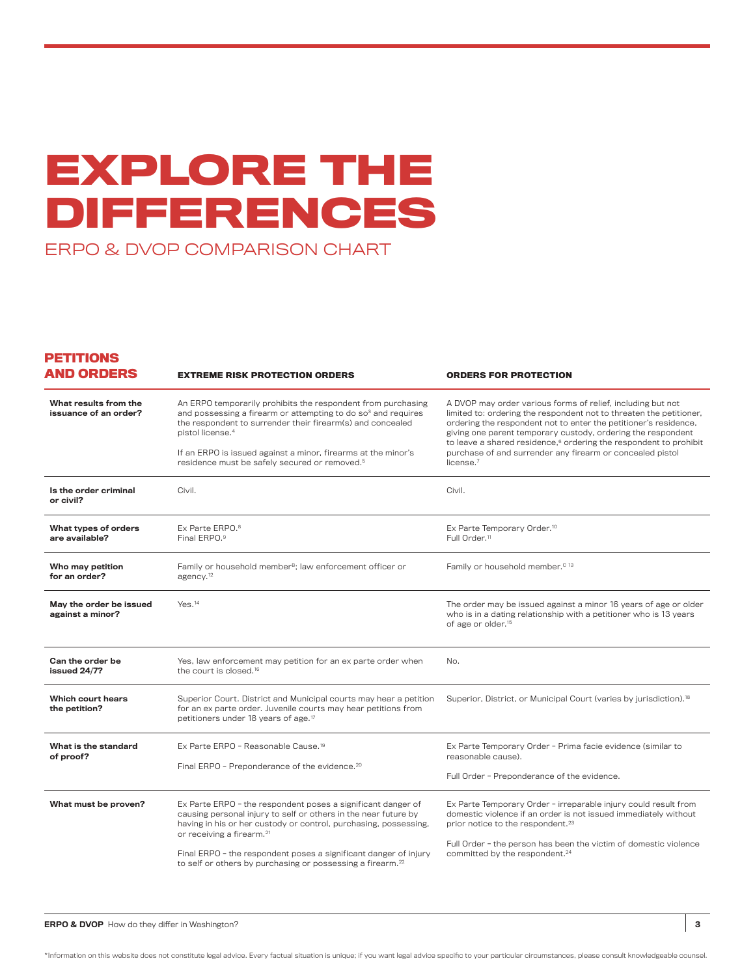# **EXPLORE THE DIFFERENCES**  ERPO & DVOP COMPARISON CHART

#### **PETITIONS AND ORDERS**

| <b>AND ORDERS</b>                              | <b>EXTREME RISK PROTECTION ORDERS</b>                                                                                                                                                                                                                                                                                                                                                      | <b>ORDERS FOR PROTECTION</b>                                                                                                                                                                                                                                                                                                                                                                                                                  |
|------------------------------------------------|--------------------------------------------------------------------------------------------------------------------------------------------------------------------------------------------------------------------------------------------------------------------------------------------------------------------------------------------------------------------------------------------|-----------------------------------------------------------------------------------------------------------------------------------------------------------------------------------------------------------------------------------------------------------------------------------------------------------------------------------------------------------------------------------------------------------------------------------------------|
| What results from the<br>issuance of an order? | An ERPO temporarily prohibits the respondent from purchasing<br>and possessing a firearm or attempting to do so <sup>3</sup> and requires<br>the respondent to surrender their firearm(s) and concealed<br>pistol license. <sup>4</sup><br>If an ERPO is issued against a minor, firearms at the minor's<br>residence must be safely secured or removed. <sup>5</sup>                      | A DVOP may order various forms of relief, including but not<br>limited to: ordering the respondent not to threaten the petitioner,<br>ordering the respondent not to enter the petitioner's residence,<br>giving one parent temporary custody, ordering the respondent<br>to leave a shared residence, <sup>6</sup> ordering the respondent to prohibit<br>purchase of and surrender any firearm or concealed pistol<br>license. <sup>7</sup> |
| Is the order criminal<br>or civil?             | Civil.                                                                                                                                                                                                                                                                                                                                                                                     | Civil.                                                                                                                                                                                                                                                                                                                                                                                                                                        |
| What types of orders<br>are available?         | Ex Parte ERPO. <sup>8</sup><br>Final ERPO. <sup>9</sup>                                                                                                                                                                                                                                                                                                                                    | Ex Parte Temporary Order. <sup>10</sup><br>Full Order. <sup>11</sup>                                                                                                                                                                                                                                                                                                                                                                          |
| Who may petition<br>for an order?              | Family or household member <sup>B</sup> ; law enforcement officer or<br>agency. <sup>12</sup>                                                                                                                                                                                                                                                                                              | Family or household member. <sup>c 13</sup>                                                                                                                                                                                                                                                                                                                                                                                                   |
| May the order be issued<br>against a minor?    | Yes. <sup>14</sup>                                                                                                                                                                                                                                                                                                                                                                         | The order may be issued against a minor 16 years of age or older<br>who is in a dating relationship with a petitioner who is 13 years<br>of age or older. <sup>15</sup>                                                                                                                                                                                                                                                                       |
| Can the order be<br>issued 24/7?               | Yes, law enforcement may petition for an ex parte order when<br>the court is closed. <sup>16</sup>                                                                                                                                                                                                                                                                                         | No.                                                                                                                                                                                                                                                                                                                                                                                                                                           |
| Which court hears<br>the petition?             | Superior Court. District and Municipal courts may hear a petition<br>for an ex parte order. Juvenile courts may hear petitions from<br>petitioners under 18 years of age. <sup>17</sup>                                                                                                                                                                                                    | Superior, District, or Municipal Court (varies by jurisdiction). <sup>18</sup>                                                                                                                                                                                                                                                                                                                                                                |
| What is the standard<br>of proof?              | Ex Parte ERPO - Reasonable Cause. <sup>19</sup><br>Final ERPO - Preponderance of the evidence. <sup>20</sup>                                                                                                                                                                                                                                                                               | Ex Parte Temporary Order - Prima facie evidence (similar to<br>reasonable cause).<br>Full Order - Preponderance of the evidence.                                                                                                                                                                                                                                                                                                              |
| What must be proven?                           | Ex Parte ERPO - the respondent poses a significant danger of<br>causing personal injury to self or others in the near future by<br>having in his or her custody or control, purchasing, possessing,<br>or receiving a firearm. <sup>21</sup><br>Final ERPO - the respondent poses a significant danger of injury<br>to self or others by purchasing or possessing a firearm. <sup>22</sup> | Ex Parte Temporary Order - irreparable injury could result from<br>domestic violence if an order is not issued immediately without<br>prior notice to the respondent. <sup>23</sup><br>Full Order - the person has been the victim of domestic violence<br>committed by the respondent. <sup>24</sup>                                                                                                                                         |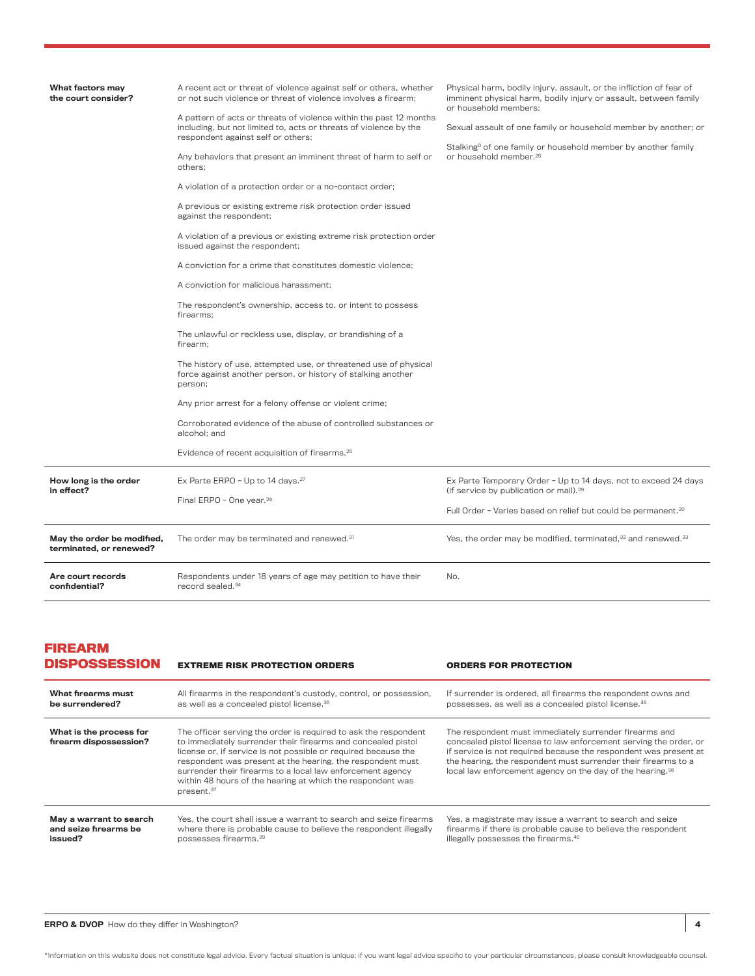| What factors may<br>the court consider?               | A recent act or threat of violence against self or others, whether<br>or not such violence or threat of violence involves a firearm:<br>A pattern of acts or threats of violence within the past 12 months<br>including, but not limited to, acts or threats of violence by the<br>respondent against self or others;<br>Any behaviors that present an imminent threat of harm to self or<br>others:<br>A violation of a protection order or a no-contact order;<br>A previous or existing extreme risk protection order issued<br>against the respondent;<br>A violation of a previous or existing extreme risk protection order<br>issued against the respondent;<br>A conviction for a crime that constitutes domestic violence;<br>A conviction for malicious harassment:<br>The respondent's ownership, access to, or intent to possess<br>firearms:<br>The unlawful or reckless use, display, or brandishing of a<br>firearm:<br>The history of use, attempted use, or threatened use of physical<br>force against another person, or history of stalking another<br>person;<br>Any prior arrest for a felony offense or violent crime;<br>Corroborated evidence of the abuse of controlled substances or | Physical harm, bodily injury, assault, or the infliction of fear of<br>imminent physical harm, bodily injury or assault, between family<br>or household members:<br>Sexual assault of one family or household member by another; or<br>Stalking <sup>D</sup> of one family or household member by another family<br>or household member. <sup>26</sup> |
|-------------------------------------------------------|-----------------------------------------------------------------------------------------------------------------------------------------------------------------------------------------------------------------------------------------------------------------------------------------------------------------------------------------------------------------------------------------------------------------------------------------------------------------------------------------------------------------------------------------------------------------------------------------------------------------------------------------------------------------------------------------------------------------------------------------------------------------------------------------------------------------------------------------------------------------------------------------------------------------------------------------------------------------------------------------------------------------------------------------------------------------------------------------------------------------------------------------------------------------------------------------------------------------|--------------------------------------------------------------------------------------------------------------------------------------------------------------------------------------------------------------------------------------------------------------------------------------------------------------------------------------------------------|
|                                                       | alcohol: and<br>Evidence of recent acquisition of firearms. <sup>25</sup>                                                                                                                                                                                                                                                                                                                                                                                                                                                                                                                                                                                                                                                                                                                                                                                                                                                                                                                                                                                                                                                                                                                                       |                                                                                                                                                                                                                                                                                                                                                        |
| How long is the order<br>in effect?                   | Ex Parte ERPO - Up to 14 days. <sup>27</sup><br>Final ERPO - One year. <sup>28</sup>                                                                                                                                                                                                                                                                                                                                                                                                                                                                                                                                                                                                                                                                                                                                                                                                                                                                                                                                                                                                                                                                                                                            | Ex Parte Temporary Order - Up to 14 days, not to exceed 24 days<br>(if service by publication or mail). <sup>29</sup><br>Full Order - Varies based on relief but could be permanent. <sup>30</sup>                                                                                                                                                     |
| May the order be modified,<br>terminated, or renewed? | The order may be terminated and renewed. <sup>31</sup>                                                                                                                                                                                                                                                                                                                                                                                                                                                                                                                                                                                                                                                                                                                                                                                                                                                                                                                                                                                                                                                                                                                                                          | Yes, the order may be modified, terminated, 32 and renewed. 33                                                                                                                                                                                                                                                                                         |
| Are court records<br>confidential?                    | Respondents under 18 years of age may petition to have their<br>record sealed. <sup>34</sup>                                                                                                                                                                                                                                                                                                                                                                                                                                                                                                                                                                                                                                                                                                                                                                                                                                                                                                                                                                                                                                                                                                                    | No.                                                                                                                                                                                                                                                                                                                                                    |

#### **FIREARM DISPOSSESSION**

| <b>DISPOSSESSION</b>                              | <b>EXTREME RISK PROTECTION ORDERS</b>                                                                                                                                                                                                                                                                                                                                                                                 | <b>ORDERS FOR PROTECTION</b>                                                                                                                                                                                                                                                                                                               |
|---------------------------------------------------|-----------------------------------------------------------------------------------------------------------------------------------------------------------------------------------------------------------------------------------------------------------------------------------------------------------------------------------------------------------------------------------------------------------------------|--------------------------------------------------------------------------------------------------------------------------------------------------------------------------------------------------------------------------------------------------------------------------------------------------------------------------------------------|
| What firearms must                                | All firearms in the respondent's custody, control, or possession,                                                                                                                                                                                                                                                                                                                                                     | If surrender is ordered, all firearms the respondent owns and                                                                                                                                                                                                                                                                              |
| be surrendered?                                   | as well as a concealed pistol license. <sup>35</sup>                                                                                                                                                                                                                                                                                                                                                                  | possesses, as well as a concealed pistol license. <sup>36</sup>                                                                                                                                                                                                                                                                            |
| What is the process for<br>firearm dispossession? | The officer serving the order is required to ask the respondent<br>to immediately surrender their firearms and concealed pistol<br>license or, if service is not possible or required because the<br>respondent was present at the hearing, the respondent must<br>surrender their firearms to a local law enforcement agency<br>within 48 hours of the hearing at which the respondent was<br>present. <sup>37</sup> | The respondent must immediately surrender firearms and<br>concealed pistol license to law enforcement serving the order, or<br>if service is not required because the respondent was present at<br>the hearing, the respondent must surrender their firearms to a<br>local law enforcement agency on the day of the hearing. <sup>38</sup> |
| May a warrant to search                           | Yes, the court shall issue a warrant to search and seize firearms                                                                                                                                                                                                                                                                                                                                                     | Yes, a magistrate may issue a warrant to search and seize                                                                                                                                                                                                                                                                                  |
| and seize firearms be                             | where there is probable cause to believe the respondent illegally                                                                                                                                                                                                                                                                                                                                                     | firearms if there is probable cause to believe the respondent                                                                                                                                                                                                                                                                              |
| issued?                                           | possesses firearms. <sup>39</sup>                                                                                                                                                                                                                                                                                                                                                                                     | illegally possesses the firearms. <sup>40</sup>                                                                                                                                                                                                                                                                                            |